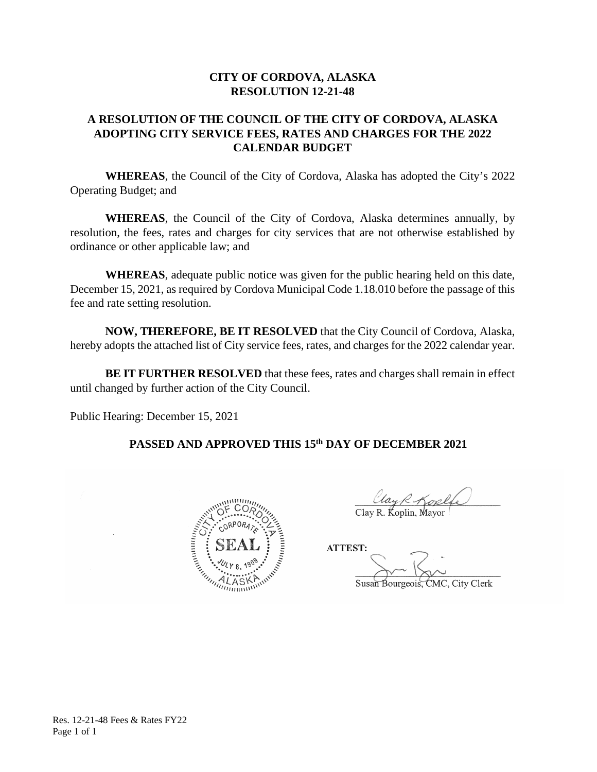#### **CITY OF CORDOVA, ALASKA RESOLUTION 12-21-48**

### **A RESOLUTION OF THE COUNCIL OF THE CITY OF CORDOVA, ALASKA ADOPTING CITY SERVICE FEES, RATES AND CHARGES FOR THE 2022 CALENDAR BUDGET**

**WHEREAS**, the Council of the City of Cordova, Alaska has adopted the City's 2022 Operating Budget; and

**WHEREAS**, the Council of the City of Cordova, Alaska determines annually, by resolution, the fees, rates and charges for city services that are not otherwise established by ordinance or other applicable law; and

**WHEREAS**, adequate public notice was given for the public hearing held on this date, December 15, 2021, as required by Cordova Municipal Code 1.18.010 before the passage of this fee and rate setting resolution.

**NOW, THEREFORE, BE IT RESOLVED** that the City Council of Cordova, Alaska, hereby adopts the attached list of City service fees, rates, and charges for the 2022 calendar year.

**BE IT FURTHER RESOLVED** that these fees, rates and charges shall remain in effect until changed by further action of the City Council.

Public Hearing: December 15, 2021

#### **PASSED AND APPROVED THIS 15th DAY OF DECEMBER 2021**



 $\overline{\phantom{a}}$  $\frac{\ell \ell \alpha_{\mathcal{Y}} \mathcal{R}}{\text{Clay R. Koplin, Mayor}}$ 

ATTEST:  $S_{\mathcal{S}}$  Susan Bourgeois, City Clerk, City Clerk, City Clerk, City Clerk, City Clerk, City Clerk, City Clerk, City Clerk, City Clerk, City Clerk, City Clerk, City Clerk, City Clerk, City Clerk, City Clerk, City Clerk, C Susan Bourgeois, CMC, City Clerk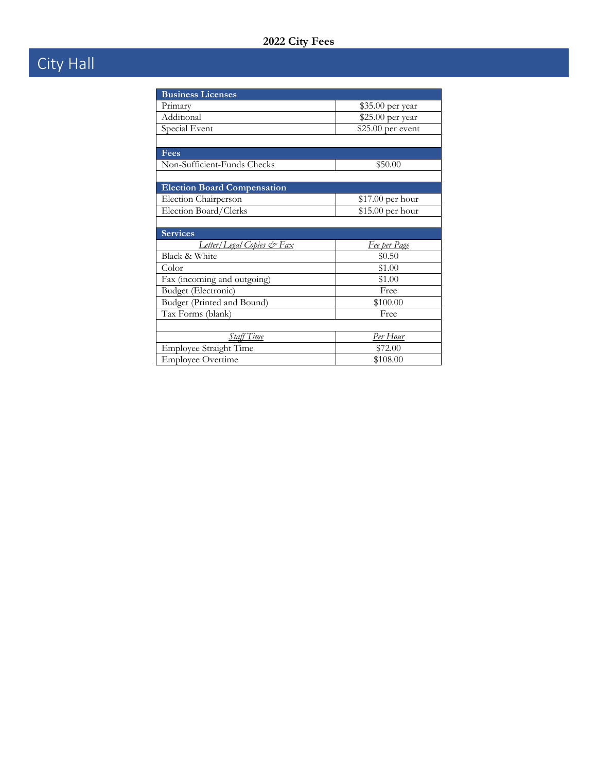# City Hall

| <b>Business Licenses</b>             |                     |  |
|--------------------------------------|---------------------|--|
| Primary                              | \$35.00 per year    |  |
| Additional                           | \$25.00 per year    |  |
| Special Event                        | \$25.00 per event   |  |
|                                      |                     |  |
| <b>Fees</b>                          |                     |  |
| Non-Sufficient-Funds Checks          | \$50.00             |  |
|                                      |                     |  |
| <b>Election Board Compensation</b>   |                     |  |
| Election Chairperson                 | $$17.00$ per hour   |  |
| Election Board/Clerks                | \$15.00 per hour    |  |
|                                      |                     |  |
| <b>Services</b>                      |                     |  |
| <u>Letter/Legal Copies &amp; Fax</u> | <u>Fee per Page</u> |  |
| Black & White                        | \$0.50              |  |
| Color                                | \$1.00              |  |
| Fax (incoming and outgoing)          | \$1.00              |  |
| Budget (Electronic)                  | Free                |  |
| Budget (Printed and Bound)           | \$100.00            |  |
| Tax Forms (blank)                    | Free                |  |
|                                      |                     |  |
| Staff Time                           | <u>Per Hour</u>     |  |
| Employee Straight Time               | \$72.00             |  |
| <b>Employee Overtime</b>             | \$108.00            |  |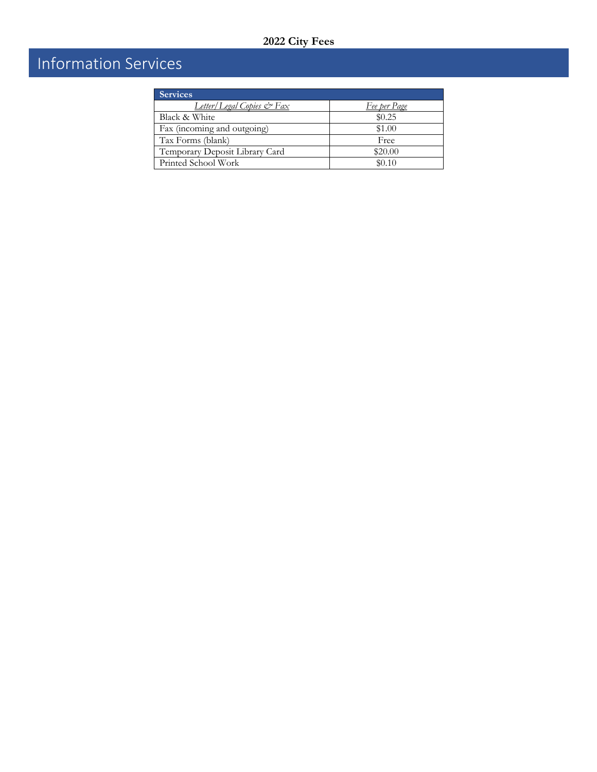## Information Services

| <b>Services</b>                |                     |
|--------------------------------|---------------------|
| Letter/Legal Copies & Fax      | <u>Fee per Page</u> |
| Black & White                  | \$0.25              |
| Fax (incoming and outgoing)    | \$1.00              |
| Tax Forms (blank)              | Free                |
| Temporary Deposit Library Card | \$20.00             |
| Printed School Work            | \$0.10              |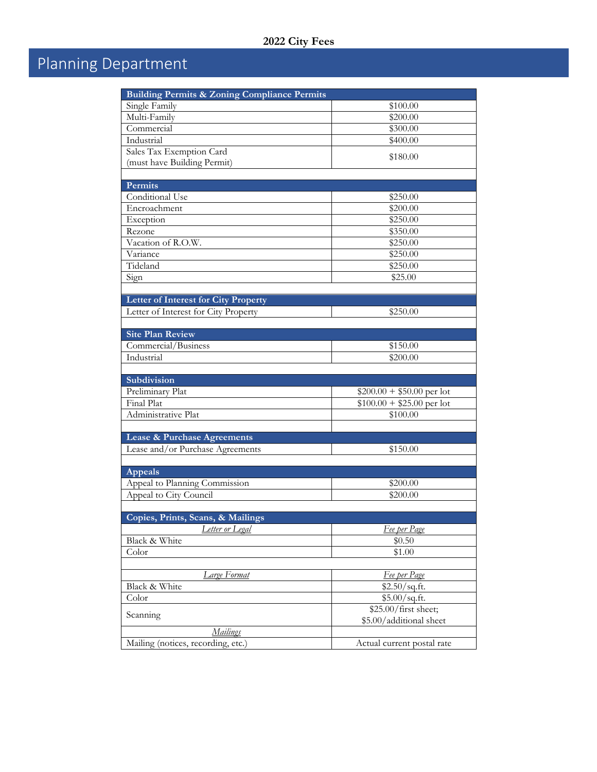# Planning Department

| <b>Building Permits &amp; Zoning Compliance Permits</b> |                            |  |
|---------------------------------------------------------|----------------------------|--|
| Single Family                                           | \$100.00                   |  |
| Multi-Family                                            | \$200.00                   |  |
| Commercial                                              | \$300.00                   |  |
| Industrial                                              | \$400.00                   |  |
| Sales Tax Exemption Card                                |                            |  |
| (must have Building Permit)                             | \$180.00                   |  |
|                                                         |                            |  |
| Permits                                                 |                            |  |
| Conditional Use                                         | \$250.00                   |  |
| Encroachment                                            | \$200.00                   |  |
| Exception                                               | \$250.00                   |  |
| Rezone                                                  | \$350.00                   |  |
| Vacation of R.O.W.                                      | \$250.00                   |  |
| Variance                                                | \$250.00                   |  |
| Tideland                                                | \$250.00                   |  |
| Sign                                                    | \$25.00                    |  |
|                                                         |                            |  |
| Letter of Interest for City Property                    |                            |  |
| Letter of Interest for City Property                    | \$250.00                   |  |
|                                                         |                            |  |
| <b>Site Plan Review</b>                                 |                            |  |
| Commercial/Business                                     | \$150.00                   |  |
| Industrial                                              | \$200.00                   |  |
|                                                         |                            |  |
| Subdivision                                             |                            |  |
| Preliminary Plat                                        | $$200.00 + $50.00$ per lot |  |
| Final Plat                                              | $$100.00 + $25.00$ per lot |  |
| Administrative Plat                                     | \$100.00                   |  |
|                                                         |                            |  |
| Lease & Purchase Agreements                             |                            |  |
| Lease and/or Purchase Agreements                        | \$150.00                   |  |
|                                                         |                            |  |
| Appeals                                                 |                            |  |
| Appeal to Planning Commission                           | \$200.00                   |  |
| Appeal to City Council                                  | \$200.00                   |  |
|                                                         |                            |  |
| Copies, Prints, Scans, & Mailings                       |                            |  |
| Letter or Legal                                         | Fee per Page               |  |
| Black & White                                           | \$0.50                     |  |
| Color                                                   | \$1.00                     |  |
|                                                         |                            |  |
| Large Format                                            | Fee per Page               |  |
| Black & White                                           | \$2.50/sq.fit.             |  |
| Color                                                   | \$5.00/sq.fit.             |  |
|                                                         | \$25.00/first sheet;       |  |
| Scanning                                                | \$5.00/additional sheet    |  |
| <u>Mailings</u>                                         |                            |  |
| Mailing (notices, recording, etc.)                      | Actual current postal rate |  |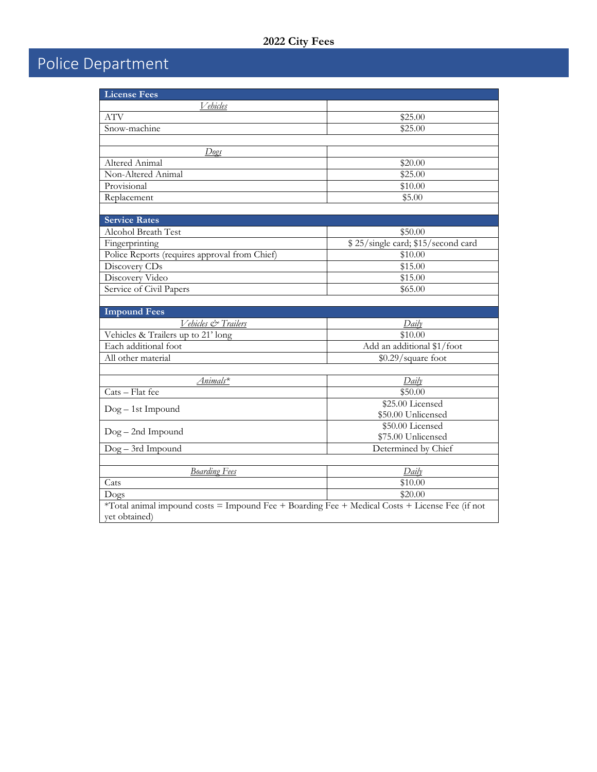# Police Department

| <b>License Fees</b>                                                                            |                                    |  |
|------------------------------------------------------------------------------------------------|------------------------------------|--|
| <u>Vehicles</u>                                                                                |                                    |  |
| <b>ATV</b>                                                                                     | \$25.00                            |  |
| Snow-machine                                                                                   | \$25.00                            |  |
|                                                                                                |                                    |  |
| Dogs                                                                                           |                                    |  |
| Altered Animal                                                                                 | \$20.00                            |  |
| Non-Altered Animal                                                                             | \$25.00                            |  |
| Provisional                                                                                    | \$10.00                            |  |
| Replacement                                                                                    | \$5.00                             |  |
|                                                                                                |                                    |  |
| <b>Service Rates</b>                                                                           |                                    |  |
| <b>Alcohol Breath Test</b>                                                                     | \$50.00                            |  |
| Fingerprinting                                                                                 | \$25/single card; \$15/second card |  |
| Police Reports (requires approval from Chief)                                                  | \$10.00                            |  |
| Discovery CDs                                                                                  | \$15.00                            |  |
| Discovery Video                                                                                | \$15.00                            |  |
| Service of Civil Papers                                                                        | \$65.00                            |  |
|                                                                                                |                                    |  |
| <b>Impound Fees</b>                                                                            |                                    |  |
| Vehicles & Trailers                                                                            | Daily                              |  |
| Vehicles & Trailers up to 21' long                                                             | \$10.00                            |  |
| Each additional foot                                                                           | Add an additional \$1/foot         |  |
| All other material                                                                             | \$0.29/square foot                 |  |
|                                                                                                |                                    |  |
| Animals*                                                                                       | Daily                              |  |
| Cats - Flat fee                                                                                | \$50.00                            |  |
| Dog - 1st Impound                                                                              | \$25.00 Licensed                   |  |
|                                                                                                | \$50.00 Unlicensed                 |  |
| $Dog - 2nd$ Impound                                                                            | \$50.00 Licensed                   |  |
|                                                                                                | \$75.00 Unlicensed                 |  |
| Dog-3rd Impound                                                                                | Determined by Chief                |  |
|                                                                                                |                                    |  |
| <b>Boarding Fees</b>                                                                           | Daily                              |  |
| Cats                                                                                           | \$10.00                            |  |
| Dogs                                                                                           | \$20.00                            |  |
| *Total animal impound costs = Impound Fee + Boarding Fee + Medical Costs + License Fee (if not |                                    |  |
| yet obtained)                                                                                  |                                    |  |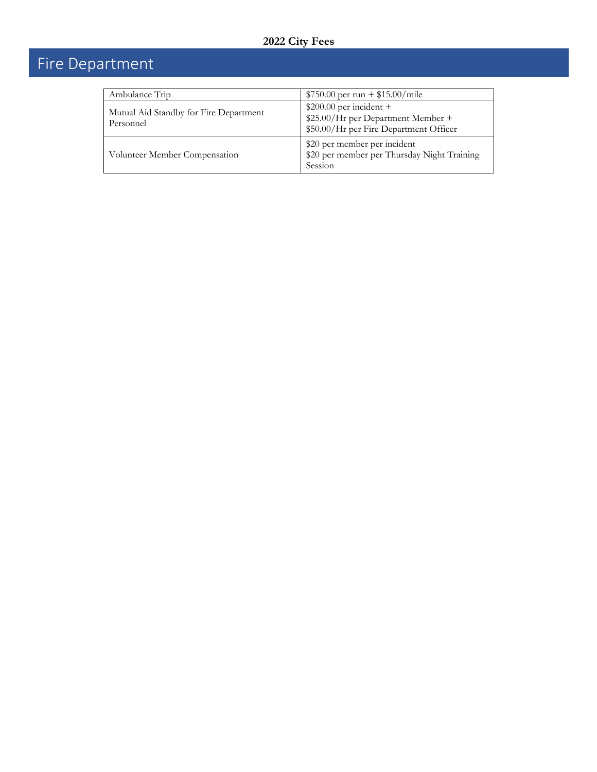# Fire Department

| Ambulance Trip                                      | $$750.00$ per run + \$15.00/mile                                                                         |
|-----------------------------------------------------|----------------------------------------------------------------------------------------------------------|
| Mutual Aid Standby for Fire Department<br>Personnel | $$200.00$ per incident +<br>\$25.00/Hr per Department Member +<br>\$50.00/Hr per Fire Department Officer |
| Volunteer Member Compensation                       | \$20 per member per incident<br>\$20 per member per Thursday Night Training<br>Session                   |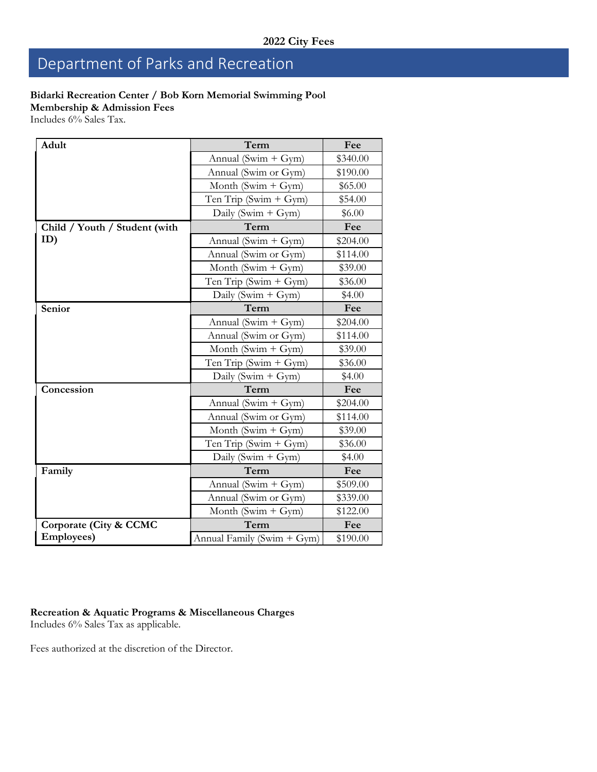## Department of Parks and Recreation

#### **Bidarki Recreation Center / Bob Korn Memorial Swimming Pool**

**Membership & Admission Fees**

Includes 6% Sales Tax.

| Adult                         | Term                       | Fee      |
|-------------------------------|----------------------------|----------|
|                               | Annual (Swim + $Gym$ )     | \$340.00 |
|                               | Annual (Swim or Gym)       | \$190.00 |
|                               | Month (Swim + $Gym$ )      | \$65.00  |
|                               | Ten Trip (Swim $+$ Gym)    | \$54.00  |
|                               | Daily (Swim + $Gym$ )      | \$6.00   |
| Child / Youth / Student (with | Term                       | Fee      |
| ID)                           | Annual (Swim + Gym)        | \$204.00 |
|                               | Annual (Swim or Gym)       | \$114.00 |
|                               | Month (Swim $+$ Gym)       | \$39.00  |
|                               | Ten Trip (Swim $+$ Gym)    | \$36.00  |
|                               | Daily (Swim + $Gym$ )      | \$4.00   |
| Senior                        | Term                       | Fee      |
|                               | Annual (Swim + $Gym$ )     | \$204.00 |
|                               | Annual (Swim or Gym)       | \$114.00 |
|                               | Month (Swim + $Gym$ )      | \$39.00  |
|                               | Ten Trip (Swim $+$ Gym)    | \$36.00  |
|                               | Daily (Swim + $Gym$ )      | \$4.00   |
| Concession                    | Term                       | Fee      |
|                               | Annual (Swim + $Gym$ )     | \$204.00 |
|                               | Annual (Swim or Gym)       | \$114.00 |
|                               | Month (Swim $+$ Gym)       | \$39.00  |
|                               | Ten Trip (Swim $+$ Gym)    | \$36.00  |
|                               | Daily (Swim + $Gym$ )      | \$4.00   |
| Family                        | Term                       | Fee      |
|                               | Annual (Swim + $Gym$ )     | \$509.00 |
|                               | Annual (Swim or Gym)       | \$339.00 |
|                               | Month (Swim $+$ Gym)       | \$122.00 |
| Corporate (City & CCMC        | Term                       | Fee      |
| <b>Employees</b> )            | Annual Family (Swim + Gym) | \$190.00 |

### **Recreation & Aquatic Programs & Miscellaneous Charges**

Includes 6% Sales Tax as applicable.

Fees authorized at the discretion of the Director.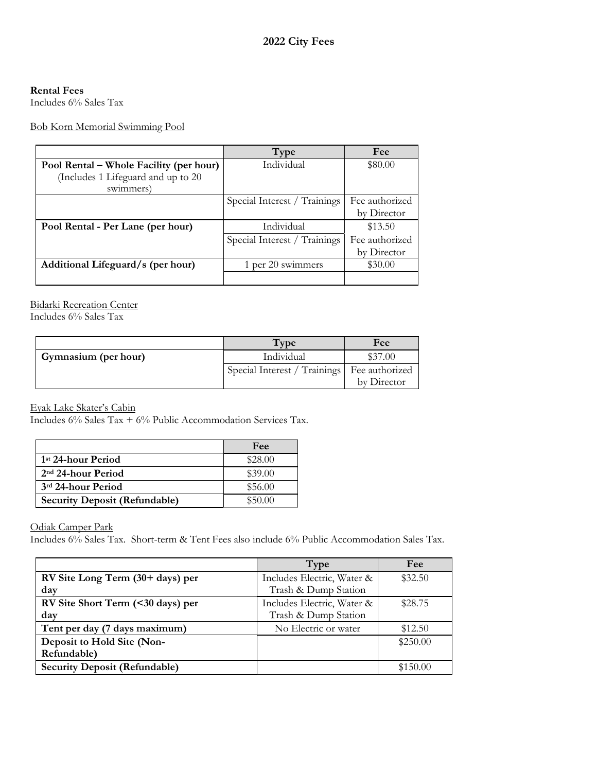#### **Rental Fees**

Includes 6% Sales Tax

Bob Korn Memorial Swimming Pool

|                                         | Type                         | Fee            |
|-----------------------------------------|------------------------------|----------------|
| Pool Rental – Whole Facility (per hour) | Individual                   | \$80.00        |
| (Includes 1 Lifeguard and up to 20      |                              |                |
| swimmers)                               |                              |                |
|                                         | Special Interest / Trainings | Fee authorized |
|                                         |                              | by Director    |
| Pool Rental - Per Lane (per hour)       | Individual                   | \$13.50        |
|                                         | Special Interest / Trainings | Fee authorized |
|                                         |                              | by Director    |
| Additional Lifeguard/s (per hour)       | 1 per 20 swimmers            | \$30.00        |
|                                         |                              |                |

#### Bidarki Recreation Center

Includes 6% Sales Tax

|                      | Type                                          | Fee         |
|----------------------|-----------------------------------------------|-------------|
| Gymnasium (per hour) | Individual                                    | \$37.00     |
|                      | Special Interest / Trainings   Fee authorized |             |
|                      |                                               | by Director |

Eyak Lake Skater's Cabin

Includes 6% Sales Tax + 6% Public Accommodation Services Tax.

|                                      | Fee     |
|--------------------------------------|---------|
| 1 <sup>st</sup> 24-hour Period       | \$28.00 |
| $2nd 24$ -hour Period                | \$39.00 |
| 3rd 24-hour Period                   | \$56.00 |
| <b>Security Deposit (Refundable)</b> | \$50.00 |

Odiak Camper Park

Includes 6% Sales Tax. Short-term & Tent Fees also include 6% Public Accommodation Sales Tax.

|                                      | Type                       | Fee      |
|--------------------------------------|----------------------------|----------|
| RV Site Long Term (30+ days) per     | Includes Electric, Water & | \$32.50  |
| day                                  | Trash & Dump Station       |          |
| RV Site Short Term (<30 days) per    | Includes Electric, Water & | \$28.75  |
| day                                  | Trash & Dump Station       |          |
| Tent per day (7 days maximum)        | No Electric or water       | \$12.50  |
| Deposit to Hold Site (Non-           |                            | \$250.00 |
| Refundable)                          |                            |          |
| <b>Security Deposit (Refundable)</b> |                            | \$150.00 |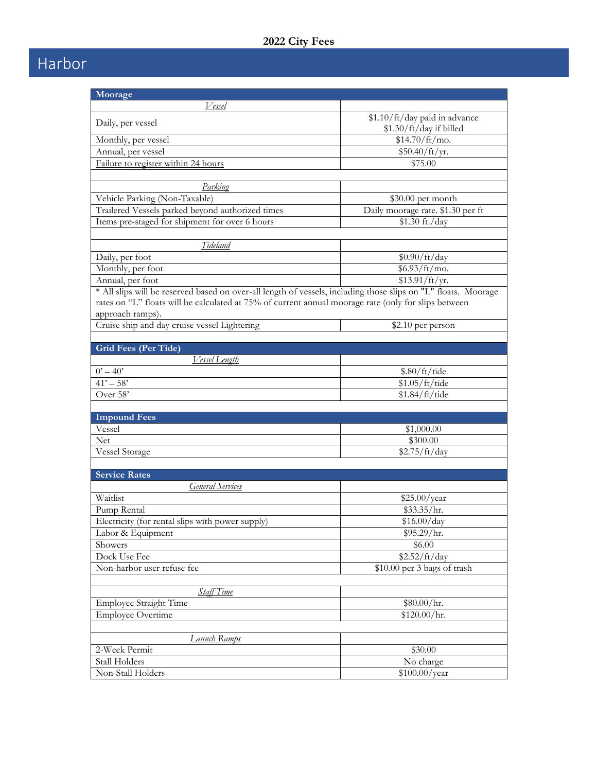## Harbor

| Moorage                                                                                                        |                                   |  |
|----------------------------------------------------------------------------------------------------------------|-----------------------------------|--|
| Vessel                                                                                                         |                                   |  |
|                                                                                                                | \$1.10/ft/day paid in advance     |  |
| Daily, per vessel                                                                                              | \$1.30/ft/day if billed           |  |
| Monthly, per vessel                                                                                            | $$14.70/ft/mol$ .                 |  |
| Annual, per vessel                                                                                             | \$50.40/ft/yr.                    |  |
| Failure to register within 24 hours                                                                            | \$75.00                           |  |
|                                                                                                                |                                   |  |
| Parking                                                                                                        |                                   |  |
| Vehicle Parking (Non-Taxable)                                                                                  | \$30.00 per month                 |  |
| Trailered Vessels parked beyond authorized times                                                               | Daily moorage rate. \$1.30 per ft |  |
| Items pre-staged for shipment for over 6 hours                                                                 | \$1.30 ft./day                    |  |
|                                                                                                                |                                   |  |
| Tideland                                                                                                       |                                   |  |
| Daily, per foot                                                                                                | \$0.90/ft/day                     |  |
| Monthly, per foot                                                                                              | $$6.93/ft/mol$ .                  |  |
| Annual, per foot                                                                                               | \$13.91/ft/yr.                    |  |
| * All slips will be reserved based on over-all length of vessels, including those slips on "L" floats. Moorage |                                   |  |
| rates on "L" floats will be calculated at 75% of current annual moorage rate (only for slips between           |                                   |  |
| approach ramps).                                                                                               |                                   |  |
| Cruise ship and day cruise vessel Lightering                                                                   | \$2.10 per person                 |  |
|                                                                                                                |                                   |  |
| <b>Grid Fees (Per Tide)</b>                                                                                    |                                   |  |
| Vessel Length                                                                                                  |                                   |  |
| $0' - 40'$                                                                                                     | \$.80/ft/tde                      |  |
| $\overline{41'} - 58'$                                                                                         | \$1.05/ft/tde                     |  |
| Over 58'                                                                                                       | \$1.84/ft/tide                    |  |
|                                                                                                                |                                   |  |
| <b>Impound Fees</b>                                                                                            |                                   |  |
| Vessel                                                                                                         | \$1,000.00                        |  |
| Net                                                                                                            | \$300.00                          |  |
| <b>Vessel Storage</b>                                                                                          | \$2.75/ft/day                     |  |
| <b>Service Rates</b>                                                                                           |                                   |  |
|                                                                                                                |                                   |  |
| <b>General Services</b><br>Waitlist                                                                            |                                   |  |
| Pump Rental                                                                                                    | \$25.00/year                      |  |
| Electricity (for rental slips with power supply)                                                               | \$33.35/hr.<br>\$16.00/day        |  |
| Labor & Equipment                                                                                              | \$95.29/hr.                       |  |
| Showers                                                                                                        | \$6.00                            |  |
| Dock Use Fee                                                                                                   | \$2.52/ft/day                     |  |
| Non-harbor user refuse fee                                                                                     |                                   |  |
|                                                                                                                | \$10.00 per 3 bags of trash       |  |
| <b>Staff Time</b>                                                                                              |                                   |  |
| Employee Straight Time                                                                                         |                                   |  |
| <b>Employee Overtime</b>                                                                                       | \$80.00/hr.<br>\$120.00/hr.       |  |
|                                                                                                                |                                   |  |
| Launch Ramps                                                                                                   |                                   |  |
| 2-Week Permit                                                                                                  | \$30.00                           |  |
| Stall Holders                                                                                                  | No charge                         |  |
| Non-Stall Holders                                                                                              | \$100.00/year                     |  |
|                                                                                                                |                                   |  |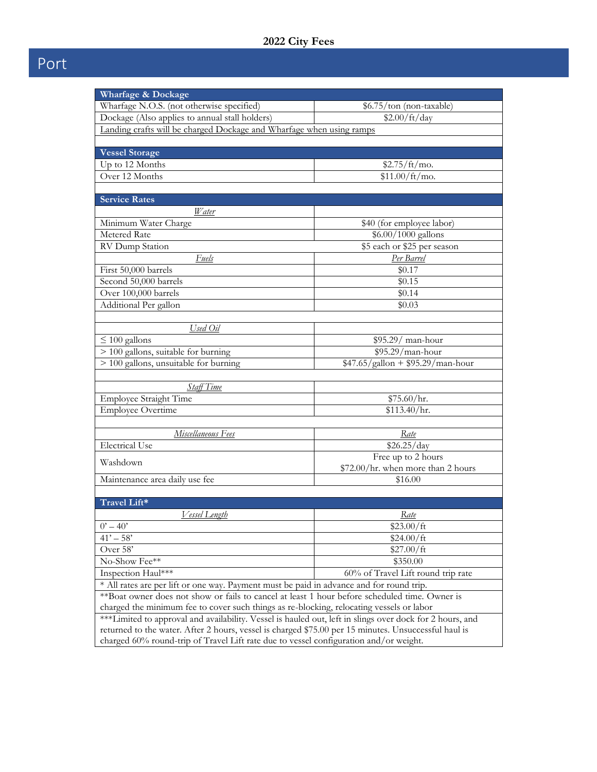| Wharfage & Dockage                                                                                                                                                                                   |                                    |  |
|------------------------------------------------------------------------------------------------------------------------------------------------------------------------------------------------------|------------------------------------|--|
| Wharfage N.O.S. (not otherwise specified)                                                                                                                                                            | \$6.75/ton (non-taxable)           |  |
| \$2.00/ft/day<br>Dockage (Also applies to annual stall holders)                                                                                                                                      |                                    |  |
| Landing crafts will be charged Dockage and Wharfage when using ramps                                                                                                                                 |                                    |  |
|                                                                                                                                                                                                      |                                    |  |
| <b>Vessel Storage</b>                                                                                                                                                                                |                                    |  |
| Up to 12 Months                                                                                                                                                                                      | $$2.75/ft/mol$ .                   |  |
| Over 12 Months                                                                                                                                                                                       | $$11.00/ft/mol$ .                  |  |
|                                                                                                                                                                                                      |                                    |  |
| <b>Service Rates</b>                                                                                                                                                                                 |                                    |  |
| <b>W</b> ater                                                                                                                                                                                        |                                    |  |
| Minimum Water Charge                                                                                                                                                                                 | \$40 (for employee labor)          |  |
| Metered Rate                                                                                                                                                                                         | \$6.00/1000 gallons                |  |
| RV Dump Station                                                                                                                                                                                      | \$5 each or \$25 per season        |  |
| Fuels                                                                                                                                                                                                | Per Barrel                         |  |
| First 50,000 barrels                                                                                                                                                                                 | \$0.17                             |  |
| Second 50,000 barrels                                                                                                                                                                                | \$0.15                             |  |
| Over 100,000 barrels                                                                                                                                                                                 | \$0.14                             |  |
| Additional Per gallon                                                                                                                                                                                | \$0.03                             |  |
|                                                                                                                                                                                                      |                                    |  |
| Used Oil                                                                                                                                                                                             |                                    |  |
| $\leq 100$ gallons                                                                                                                                                                                   | $$95.29/$ man-hour                 |  |
| $> 100$ gallons, suitable for burning                                                                                                                                                                | $$95.29/man-hour$                  |  |
| $> 100$ gallons, unsuitable for burning                                                                                                                                                              | $$47.65/gallon + $95.29/man-hour$  |  |
|                                                                                                                                                                                                      |                                    |  |
| Staff Time                                                                                                                                                                                           |                                    |  |
| Employee Straight Time                                                                                                                                                                               | \$75.60/hr.                        |  |
| <b>Employee Overtime</b>                                                                                                                                                                             | \$113.40/hr.                       |  |
|                                                                                                                                                                                                      |                                    |  |
| Miscellaneous Fees<br>Rate                                                                                                                                                                           |                                    |  |
| <b>Electrical Use</b>                                                                                                                                                                                | \$26.25/day                        |  |
|                                                                                                                                                                                                      | Free up to 2 hours                 |  |
| Washdown                                                                                                                                                                                             | \$72.00/hr. when more than 2 hours |  |
| Maintenance area daily use fee                                                                                                                                                                       | \$16.00                            |  |
|                                                                                                                                                                                                      |                                    |  |
| Travel Lift*                                                                                                                                                                                         |                                    |  |
| Vessel Length                                                                                                                                                                                        | Rate                               |  |
| $0' - 40'$                                                                                                                                                                                           | \$23.00/ft                         |  |
| $41' - 58'$                                                                                                                                                                                          | \$24.00/ft                         |  |
| Over 58'                                                                                                                                                                                             | \$27.00/ft                         |  |
| No-Show Fee**                                                                                                                                                                                        | \$350.00                           |  |
| Inspection Haul***                                                                                                                                                                                   | 60% of Travel Lift round trip rate |  |
| * All rates are per lift or one way. Payment must be paid in advance and for round trip.                                                                                                             |                                    |  |
|                                                                                                                                                                                                      |                                    |  |
| **Boat owner does not show or fails to cancel at least 1 hour before scheduled time. Owner is                                                                                                        |                                    |  |
| charged the minimum fee to cover such things as re-blocking, relocating vessels or labor<br>***Limited to approval and availability. Vessel is hauled out, left in slings over dock for 2 hours, and |                                    |  |
| returned to the water. After 2 hours, vessel is charged \$75.00 per 15 minutes. Unsuccessful haul is                                                                                                 |                                    |  |
| charged 60% round-trip of Travel Lift rate due to vessel configuration and/or weight.                                                                                                                |                                    |  |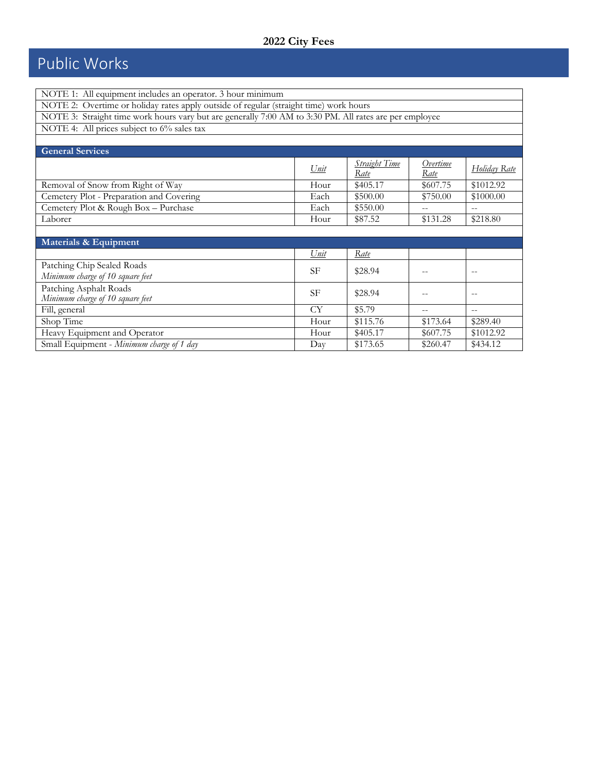# Public Works

| NOTE 1: All equipment includes an operator. 3 hour minimum                                             |             |                              |                  |                     |
|--------------------------------------------------------------------------------------------------------|-------------|------------------------------|------------------|---------------------|
| NOTE 2: Overtime or holiday rates apply outside of regular (straight time) work hours                  |             |                              |                  |                     |
| NOTE 3: Straight time work hours vary but are generally 7:00 AM to 3:30 PM. All rates are per employee |             |                              |                  |                     |
| NOTE 4: All prices subject to 6% sales tax                                                             |             |                              |                  |                     |
|                                                                                                        |             |                              |                  |                     |
| <b>General Services</b>                                                                                |             |                              |                  |                     |
|                                                                                                        | Unit        | <b>Straight Time</b><br>Rate | Overtime<br>Rate | <u>Holiday Rate</u> |
| Removal of Snow from Right of Way                                                                      | Hour        | \$405.17                     | \$607.75         | \$1012.92           |
| Cemetery Plot - Preparation and Covering                                                               | Each        | \$500.00                     | \$750.00         | \$1000.00           |
| Cemetery Plot & Rough Box - Purchase                                                                   | Each        | \$550.00                     |                  | $-$                 |
| Laborer                                                                                                | Hour        | \$87.52                      | \$131.28         | \$218.80            |
|                                                                                                        |             |                              |                  |                     |
| Materials & Equipment                                                                                  |             |                              |                  |                     |
|                                                                                                        | <u>Unit</u> | Rate                         |                  |                     |
| Patching Chip Sealed Roads<br>Minimum charge of 10 square feet                                         | SF          | \$28.94                      |                  | --                  |
| Patching Asphalt Roads<br>Minimum charge of 10 square feet                                             | <b>SF</b>   | \$28.94                      |                  | $-$                 |
| Fill, general                                                                                          | <b>CY</b>   | \$5.79                       |                  | $-$                 |
| Shop Time                                                                                              | Hour        | \$115.76                     | \$173.64         | \$289.40            |
| Heavy Equipment and Operator                                                                           | Hour        | \$405.17                     | \$607.75         | \$1012.92           |
| Small Equipment - Minimum charge of 1 day                                                              | Day         | \$173.65                     | \$260.47         | \$434.12            |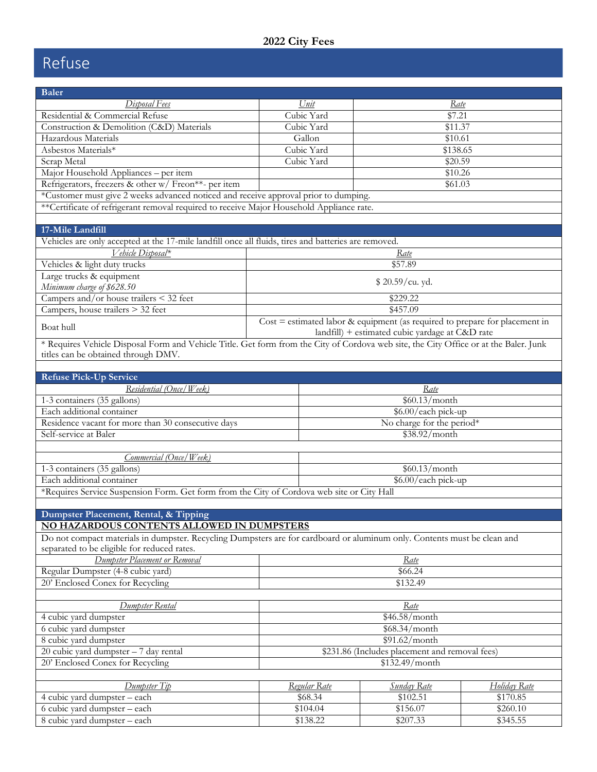# Refuse

| <b>Baler</b>                                                                                                                          |                                                |                                                                                                                                  |              |  |
|---------------------------------------------------------------------------------------------------------------------------------------|------------------------------------------------|----------------------------------------------------------------------------------------------------------------------------------|--------------|--|
| Disposal Fees                                                                                                                         | Unit                                           | Rate                                                                                                                             |              |  |
| Residential & Commercial Refuse                                                                                                       | Cubic Yard                                     | \$7.21                                                                                                                           |              |  |
| Construction & Demolition (C&D) Materials                                                                                             | Cubic Yard                                     | \$11.37                                                                                                                          |              |  |
| Hazardous Materials                                                                                                                   | Gallon                                         | \$10.61                                                                                                                          |              |  |
| Asbestos Materials*                                                                                                                   | Cubic Yard                                     | \$138.65                                                                                                                         |              |  |
| Scrap Metal                                                                                                                           | Cubic Yard                                     | \$20.59                                                                                                                          |              |  |
| Major Household Appliances - per item                                                                                                 |                                                | \$10.26                                                                                                                          |              |  |
| Refrigerators, freezers & other w/ Freon**- per item                                                                                  |                                                | \$61.03                                                                                                                          |              |  |
| *Customer must give 2 weeks advanced noticed and receive approval prior to dumping.                                                   |                                                |                                                                                                                                  |              |  |
| **Certificate of refrigerant removal required to receive Major Household Appliance rate.                                              |                                                |                                                                                                                                  |              |  |
|                                                                                                                                       |                                                |                                                                                                                                  |              |  |
| 17-Mile Landfill                                                                                                                      |                                                |                                                                                                                                  |              |  |
| Vehicles are only accepted at the 17-mile landfill once all fluids, tires and batteries are removed.                                  |                                                |                                                                                                                                  |              |  |
| Vehicle Disposal*                                                                                                                     |                                                | Rate                                                                                                                             |              |  |
| Vehicles & light duty trucks                                                                                                          |                                                | \$57.89                                                                                                                          |              |  |
| Large trucks & equipment                                                                                                              |                                                | \$20.59/cu. yd.                                                                                                                  |              |  |
| Minimum charge of \$628.50                                                                                                            |                                                |                                                                                                                                  |              |  |
| Campers and/or house trailers < 32 feet                                                                                               |                                                | \$229.22                                                                                                                         |              |  |
| Campers, house trailers > 32 feet                                                                                                     |                                                | \$457.09                                                                                                                         |              |  |
| Boat hull                                                                                                                             |                                                | $Cost = estimated labor & equipment (as required to prepare for placement in$<br>landfill) + estimated cubic yardage at C&D rate |              |  |
| * Requires Vehicle Disposal Form and Vehicle Title. Get form from the City of Cordova web site, the City Office or at the Baler. Junk |                                                |                                                                                                                                  |              |  |
| titles can be obtained through DMV.                                                                                                   |                                                |                                                                                                                                  |              |  |
|                                                                                                                                       |                                                |                                                                                                                                  |              |  |
| <b>Refuse Pick-Up Service</b>                                                                                                         |                                                |                                                                                                                                  |              |  |
| Residential (Once/Week)                                                                                                               |                                                | Rate                                                                                                                             |              |  |
| 1-3 containers (35 gallons)                                                                                                           |                                                | \$60.13/month                                                                                                                    |              |  |
| Each additional container                                                                                                             |                                                | \$6.00/each pick-up                                                                                                              |              |  |
| Residence vacant for more than 30 consecutive days                                                                                    |                                                | No charge for the period*                                                                                                        |              |  |
| Self-service at Baler                                                                                                                 |                                                | \$38.92/month                                                                                                                    |              |  |
|                                                                                                                                       |                                                |                                                                                                                                  |              |  |
| Commercial (Once/Week)                                                                                                                |                                                |                                                                                                                                  |              |  |
| 1-3 containers (35 gallons)<br>Each additional container                                                                              |                                                | \$60.13/month                                                                                                                    |              |  |
| *Requires Service Suspension Form. Get form from the City of Cordova web site or City Hall                                            |                                                | \$6.00/each pick-up                                                                                                              |              |  |
|                                                                                                                                       |                                                |                                                                                                                                  |              |  |
|                                                                                                                                       |                                                |                                                                                                                                  |              |  |
| Dumpster Placement, Rental, & Tipping<br><u>NO HAZARDOUS CONTENTS ALLOWED IN DUMPSTERS</u>                                            |                                                |                                                                                                                                  |              |  |
| Do not compact materials in dumpster. Recycling Dumpsters are for cardboard or aluminum only. Contents must be clean and              |                                                |                                                                                                                                  |              |  |
| separated to be eligible for reduced rates.                                                                                           |                                                |                                                                                                                                  |              |  |
| Dumpster Placement or Removal                                                                                                         |                                                | <u>Rate</u>                                                                                                                      |              |  |
| Regular Dumpster (4-8 cubic yard)                                                                                                     | \$66.24                                        |                                                                                                                                  |              |  |
| 20' Enclosed Conex for Recycling                                                                                                      |                                                | \$132.49                                                                                                                         |              |  |
|                                                                                                                                       |                                                |                                                                                                                                  |              |  |
| Dumpster Rental                                                                                                                       |                                                | Rate                                                                                                                             |              |  |
| 4 cubic yard dumpster                                                                                                                 |                                                | \$46.58/month                                                                                                                    |              |  |
| 6 cubic yard dumpster                                                                                                                 |                                                | \$68.34/month                                                                                                                    |              |  |
| 8 cubic yard dumpster                                                                                                                 | \$91.62/month                                  |                                                                                                                                  |              |  |
| 20 cubic yard dumpster - 7 day rental                                                                                                 | \$231.86 (Includes placement and removal fees) |                                                                                                                                  |              |  |
| 20' Enclosed Conex for Recycling                                                                                                      |                                                | \$132.49/month                                                                                                                   |              |  |
|                                                                                                                                       |                                                |                                                                                                                                  |              |  |
| Dumpster Tip                                                                                                                          | Regular Rate                                   | <b>Sunday Rate</b>                                                                                                               | Holiday Rate |  |
| 4 cubic yard dumpster - each                                                                                                          | \$68.34                                        | \$102.51                                                                                                                         | \$170.85     |  |
| 6 cubic yard dumpster - each                                                                                                          | \$104.04                                       | \$156.07                                                                                                                         | \$260.10     |  |
| 8 cubic yard dumpster - each                                                                                                          | \$138.22                                       | \$207.33                                                                                                                         | \$345.55     |  |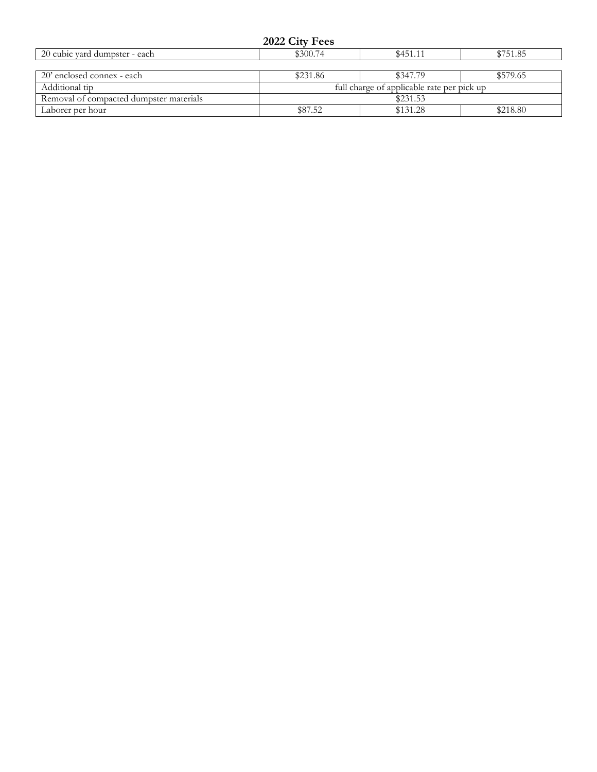| 2022 City Fees |  |  |
|----------------|--|--|
|----------------|--|--|

| 20 cubic vard dumpster - each           | \$300.74                                   | \$751.85 |          |  |
|-----------------------------------------|--------------------------------------------|----------|----------|--|
|                                         |                                            |          |          |  |
| 20' enclosed connex - each              | \$231.86                                   | \$347.79 | \$579.65 |  |
| Additional tip                          | full charge of applicable rate per pick up |          |          |  |
| Removal of compacted dumpster materials | \$231.53                                   |          |          |  |
| Laborer per hour                        | \$87.52                                    | \$131.28 | \$218.80 |  |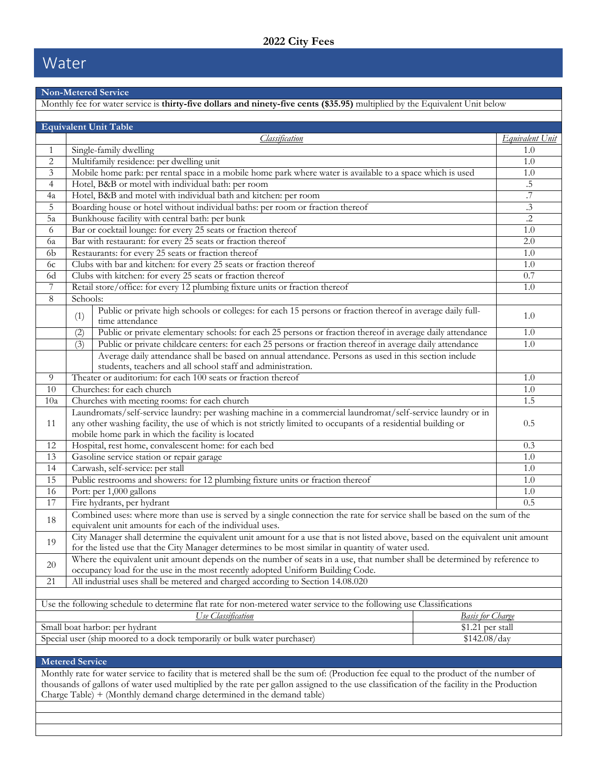## Water

#### **Non-Metered Service**

|                        |                                                     | Monthly fee for water service is thirty-five dollars and ninety-five cents (\$35.95) multiplied by the Equivalent Unit below                                                                                                         |                 |
|------------------------|-----------------------------------------------------|--------------------------------------------------------------------------------------------------------------------------------------------------------------------------------------------------------------------------------------|-----------------|
|                        |                                                     | <b>Equivalent Unit Table</b>                                                                                                                                                                                                         |                 |
|                        |                                                     | Classification                                                                                                                                                                                                                       | Equivalent Unit |
| $\mathbf{1}$           |                                                     | Single-family dwelling                                                                                                                                                                                                               | 1.0             |
| $\sqrt{2}$             |                                                     | Multifamily residence: per dwelling unit                                                                                                                                                                                             | 1.0             |
| 3                      |                                                     | Mobile home park: per rental space in a mobile home park where water is available to a space which is used                                                                                                                           | 1.0             |
| $\overline{4}$         |                                                     | Hotel, B&B or motel with individual bath: per room                                                                                                                                                                                   | .5              |
| 4a                     |                                                     | Hotel, B&B and motel with individual bath and kitchen: per room                                                                                                                                                                      | $\overline{.7}$ |
| 5                      |                                                     | Boarding house or hotel without individual baths: per room or fraction thereof                                                                                                                                                       | $.3\,$          |
| 5a                     |                                                     | Bunkhouse facility with central bath: per bunk                                                                                                                                                                                       | $\cdot$         |
| 6                      |                                                     | Bar or cocktail lounge: for every 25 seats or fraction thereof                                                                                                                                                                       | 1.0             |
| 6a                     |                                                     | Bar with restaurant: for every 25 seats or fraction thereof                                                                                                                                                                          | 2.0             |
| 6 <sub>b</sub>         |                                                     | Restaurants: for every 25 seats or fraction thereof                                                                                                                                                                                  | 1.0             |
| 6c                     |                                                     | Clubs with bar and kitchen: for every 25 seats or fraction thereof                                                                                                                                                                   | 1.0             |
| 6d                     |                                                     | Clubs with kitchen: for every 25 seats or fraction thereof                                                                                                                                                                           | 0.7             |
| $\overline{7}$         |                                                     | Retail store/office: for every 12 plumbing fixture units or fraction thereof                                                                                                                                                         | 1.0             |
| $\,8\,$                | Schools:                                            |                                                                                                                                                                                                                                      |                 |
|                        | (1)                                                 | Public or private high schools or colleges: for each 15 persons or fraction thereof in average daily full-<br>time attendance                                                                                                        | 1.0             |
|                        | (2)                                                 | Public or private elementary schools: for each 25 persons or fraction thereof in average daily attendance                                                                                                                            | 1.0             |
|                        | (3)                                                 | Public or private childcare centers: for each 25 persons or fraction thereof in average daily attendance                                                                                                                             | 1.0             |
|                        |                                                     | Average daily attendance shall be based on annual attendance. Persons as used in this section include<br>students, teachers and all school staff and administration.                                                                 |                 |
| 9                      |                                                     | Theater or auditorium: for each 100 seats or fraction thereof                                                                                                                                                                        | 1.0             |
| 10                     |                                                     | Churches: for each church                                                                                                                                                                                                            | 1.0             |
| 10a                    | Churches with meeting rooms: for each church<br>1.5 |                                                                                                                                                                                                                                      |                 |
|                        |                                                     | Laundromats/self-service laundry: per washing machine in a commercial laundromat/self-service laundry or in                                                                                                                          |                 |
| 11                     |                                                     | any other washing facility, the use of which is not strictly limited to occupants of a residential building or                                                                                                                       | 0.5             |
|                        |                                                     | mobile home park in which the facility is located                                                                                                                                                                                    |                 |
| 12                     |                                                     | Hospital, rest home, convalescent home: for each bed                                                                                                                                                                                 | 0.3             |
| 13                     |                                                     | Gasoline service station or repair garage                                                                                                                                                                                            | 1.0             |
| 14                     |                                                     | Carwash, self-service: per stall                                                                                                                                                                                                     | 1.0             |
| 15                     |                                                     | Public restrooms and showers: for 12 plumbing fixture units or fraction thereof                                                                                                                                                      | 1.0             |
| 16                     |                                                     | Port: per 1,000 gallons                                                                                                                                                                                                              | 1.0             |
| 17                     |                                                     | Fire hydrants, per hydrant                                                                                                                                                                                                           | 0.5             |
| 18                     |                                                     | Combined uses: where more than use is served by a single connection the rate for service shall be based on the sum of the<br>equivalent unit amounts for each of the individual uses.                                                |                 |
| 19                     |                                                     | City Manager shall determine the equivalent unit amount for a use that is not listed above, based on the equivalent unit amount<br>for the listed use that the City Manager determines to be most similar in quantity of water used. |                 |
| 20                     |                                                     | Where the equivalent unit amount depends on the number of seats in a use, that number shall be determined by reference to<br>occupancy load for the use in the most recently adopted Uniform Building Code.                          |                 |
| 21                     |                                                     | All industrial uses shall be metered and charged according to Section 14.08.020                                                                                                                                                      |                 |
|                        |                                                     |                                                                                                                                                                                                                                      |                 |
|                        |                                                     | Use the following schedule to determine flat rate for non-metered water service to the following use Classifications                                                                                                                 |                 |
|                        |                                                     | Use Classification<br><b>Basis for Charge</b>                                                                                                                                                                                        |                 |
|                        |                                                     | Small boat harbor: per hydrant<br>\$1.21 per stall                                                                                                                                                                                   |                 |
|                        |                                                     | Special user (ship moored to a dock temporarily or bulk water purchaser)<br>\$142.08/day                                                                                                                                             |                 |
|                        |                                                     |                                                                                                                                                                                                                                      |                 |
| <b>Metered Service</b> |                                                     |                                                                                                                                                                                                                                      |                 |
|                        |                                                     | Monthly rate for water service to facility that is metered shall be the sum of: (Production fee equal to the product of the number of                                                                                                |                 |
|                        |                                                     | thousands of gallons of water used multiplied by the rate per gallon assigned to the use classification of the facility in the Production                                                                                            |                 |
|                        |                                                     | Charge Table) + (Monthly demand charge determined in the demand table)                                                                                                                                                               |                 |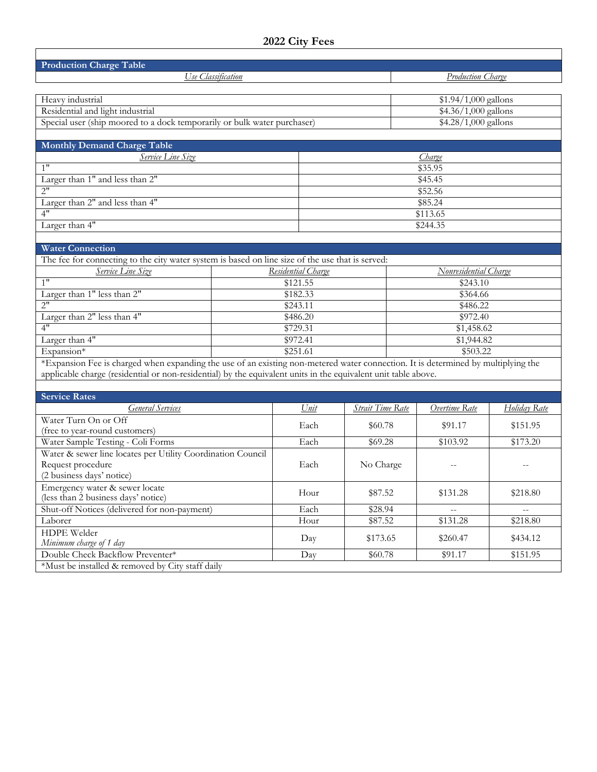| <b>Production Charge Table</b>                                                                                                    |                                                             |                                  |                         |                      |                          |                      |  |
|-----------------------------------------------------------------------------------------------------------------------------------|-------------------------------------------------------------|----------------------------------|-------------------------|----------------------|--------------------------|----------------------|--|
| Use Classification                                                                                                                |                                                             |                                  |                         |                      | <b>Production Charge</b> |                      |  |
|                                                                                                                                   |                                                             |                                  |                         |                      |                          |                      |  |
| Heavy industrial                                                                                                                  |                                                             |                                  |                         |                      | $$1.94/1,000$ gallons    |                      |  |
| Residential and light industrial                                                                                                  |                                                             |                                  |                         |                      | \$4.36/1,000 gallons     |                      |  |
| Special user (ship moored to a dock temporarily or bulk water purchaser)                                                          |                                                             |                                  |                         |                      | \$4.28/1,000 gallons     |                      |  |
|                                                                                                                                   |                                                             |                                  |                         |                      |                          |                      |  |
| <b>Monthly Demand Charge Table</b>                                                                                                |                                                             |                                  |                         |                      |                          |                      |  |
| <b>Service Line Size</b>                                                                                                          |                                                             |                                  |                         |                      | Charge                   |                      |  |
| 1"                                                                                                                                |                                                             | \$35.95                          |                         |                      |                          |                      |  |
| Larger than 1" and less than 2"                                                                                                   |                                                             | \$45.45                          |                         |                      |                          |                      |  |
| 2"                                                                                                                                |                                                             |                                  |                         |                      | \$52.56                  |                      |  |
| Larger than 2" and less than 4"                                                                                                   |                                                             |                                  |                         |                      | \$85.24                  |                      |  |
| 4"                                                                                                                                |                                                             |                                  |                         |                      | \$113.65                 |                      |  |
| Larger than 4"                                                                                                                    |                                                             |                                  |                         |                      | \$244.35                 |                      |  |
|                                                                                                                                   |                                                             |                                  |                         |                      |                          |                      |  |
| <b>Water Connection</b>                                                                                                           |                                                             |                                  |                         |                      |                          |                      |  |
| The fee for connecting to the city water system is based on line size of the use that is served:                                  |                                                             |                                  |                         |                      |                          |                      |  |
| <b>Service Line Size</b><br>1"                                                                                                    |                                                             | Residential Charge               |                         |                      | Nonresidential Charge    |                      |  |
| Larger than 1" less than 2"                                                                                                       |                                                             | $\overline{$121.55}$<br>\$182.33 |                         | \$243.10             |                          |                      |  |
| 2"                                                                                                                                |                                                             | $\sqrt{$243.11}$                 |                         | \$364.66<br>\$486.22 |                          |                      |  |
| Larger than 2" less than 4"                                                                                                       |                                                             | \$486.20                         |                         | \$972.40             |                          |                      |  |
| 4"                                                                                                                                |                                                             | \$729.31                         |                         | \$1,458.62           |                          |                      |  |
| Larger than 4"                                                                                                                    |                                                             | \$972.41                         | \$1,944.82              |                      |                          |                      |  |
| Expansion*                                                                                                                        |                                                             | \$251.61                         |                         |                      | \$503.22                 |                      |  |
| *Expansion Fee is charged when expanding the use of an existing non-metered water connection. It is determined by multiplying the |                                                             |                                  |                         |                      |                          |                      |  |
| applicable charge (residential or non-residential) by the equivalent units in the equivalent unit table above.                    |                                                             |                                  |                         |                      |                          |                      |  |
|                                                                                                                                   |                                                             |                                  |                         |                      |                          |                      |  |
| <b>Service Rates</b>                                                                                                              |                                                             |                                  |                         |                      |                          |                      |  |
| <b>General Services</b>                                                                                                           |                                                             | Unit                             | <b>Strait Time Rate</b> |                      | Overtime Rate            | Holiday Rate         |  |
| Water Turn On or Off                                                                                                              |                                                             | Each                             | \$60.78                 |                      | \$91.17                  | \$151.95             |  |
| (free to year-round customers)                                                                                                    |                                                             | Each                             |                         |                      |                          |                      |  |
|                                                                                                                                   | Water Sample Testing - Coli Forms                           |                                  | \$69.28                 |                      | \$103.92                 | $\overline{$173.20}$ |  |
|                                                                                                                                   | Water & sewer line locates per Utility Coordination Council |                                  |                         |                      |                          |                      |  |
| Request procedure<br>(2 business days' notice)                                                                                    |                                                             | Each                             | No Charge               |                      | $-\,-$                   | $-$                  |  |
| Emergency water & sewer locate                                                                                                    |                                                             |                                  |                         |                      |                          |                      |  |
| (less than 2 business days' notice)                                                                                               |                                                             | Hour                             | \$87.52                 |                      | \$131.28                 | \$218.80             |  |
| Shut-off Notices (delivered for non-payment)                                                                                      |                                                             | Each                             | \$28.94                 |                      |                          |                      |  |
| Laborer                                                                                                                           |                                                             | Hour                             | \$87.52                 |                      | \$131.28                 | \$218.80             |  |
| <b>HDPE</b> Welder                                                                                                                |                                                             |                                  |                         |                      |                          |                      |  |
| Minimum charge of 1 day                                                                                                           |                                                             | Day                              | \$173.65                |                      | \$260.47                 | \$434.12             |  |
| Double Check Backflow Preventer*                                                                                                  |                                                             | Day                              | \$60.78                 |                      | \$91.17                  | \$151.95             |  |
| *Must be installed & removed by City staff daily                                                                                  |                                                             |                                  |                         |                      |                          |                      |  |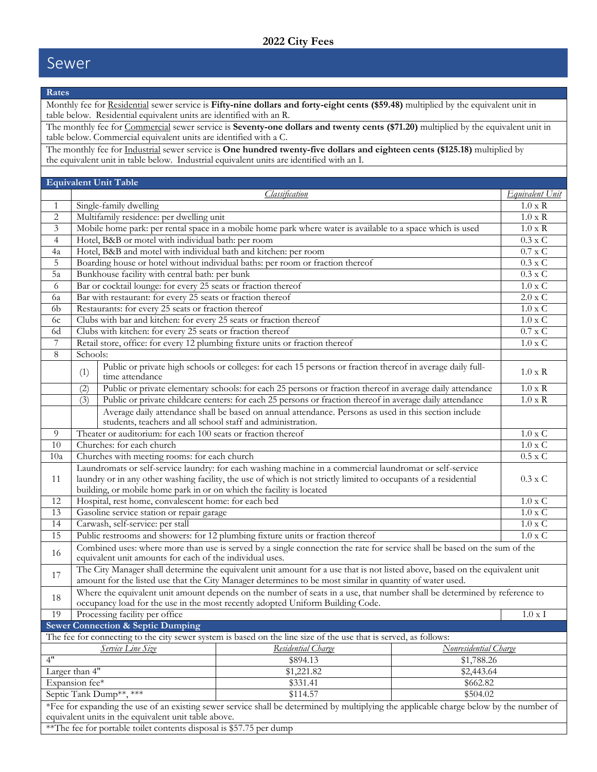### Sewer

| Rates                          |                                                                                                                 |                                                                                                                                                                                                                                                                                                      |                       |                                  |  |
|--------------------------------|-----------------------------------------------------------------------------------------------------------------|------------------------------------------------------------------------------------------------------------------------------------------------------------------------------------------------------------------------------------------------------------------------------------------------------|-----------------------|----------------------------------|--|
|                                |                                                                                                                 | Monthly fee for Residential sewer service is Fifty-nine dollars and forty-eight cents (\$59.48) multiplied by the equivalent unit in<br>table below. Residential equivalent units are identified with an R.                                                                                          |                       |                                  |  |
|                                |                                                                                                                 | The monthly fee for Commercial sewer service is Seventy-one dollars and twenty cents (\$71.20) multiplied by the equivalent unit in                                                                                                                                                                  |                       |                                  |  |
|                                |                                                                                                                 | table below. Commercial equivalent units are identified with a C.                                                                                                                                                                                                                                    |                       |                                  |  |
|                                |                                                                                                                 | The monthly fee for Industrial sewer service is One hundred twenty-five dollars and eighteen cents (\$125.18) multiplied by<br>the equivalent unit in table below. Industrial equivalent units are identified with an I.                                                                             |                       |                                  |  |
|                                |                                                                                                                 |                                                                                                                                                                                                                                                                                                      |                       |                                  |  |
|                                |                                                                                                                 | <b>Equivalent Unit Table</b>                                                                                                                                                                                                                                                                         |                       |                                  |  |
|                                |                                                                                                                 | <i><u><b>Classification</b></u></i>                                                                                                                                                                                                                                                                  |                       | <i>Equivalent Unit</i>           |  |
| $\mathbf{1}$<br>$\overline{c}$ |                                                                                                                 | Single-family dwelling<br>Multifamily residence: per dwelling unit                                                                                                                                                                                                                                   |                       | $1.0 \times R$<br>$1.0 \times R$ |  |
| $\mathfrak{Z}$                 |                                                                                                                 | Mobile home park: per rental space in a mobile home park where water is available to a space which is used                                                                                                                                                                                           |                       | $1.0 \times R$                   |  |
| $\overline{4}$                 |                                                                                                                 | Hotel, B&B or motel with individual bath: per room                                                                                                                                                                                                                                                   |                       | $0.3 \times C$                   |  |
| 4a                             |                                                                                                                 | Hotel, B&B and motel with individual bath and kitchen: per room                                                                                                                                                                                                                                      |                       | $0.7$ x $\mathrm{C}$             |  |
| 5                              |                                                                                                                 | Boarding house or hotel without individual baths: per room or fraction thereof                                                                                                                                                                                                                       |                       | $0.3 \times C$                   |  |
| 5a                             |                                                                                                                 | Bunkhouse facility with central bath: per bunk                                                                                                                                                                                                                                                       |                       | $0.3 \times C$                   |  |
| 6                              |                                                                                                                 | Bar or cocktail lounge: for every 25 seats or fraction thereof                                                                                                                                                                                                                                       |                       | $1.0 \times C$                   |  |
| 6a                             |                                                                                                                 | Bar with restaurant: for every 25 seats or fraction thereof                                                                                                                                                                                                                                          |                       | $2.0 \times C$                   |  |
| 6 <sub>b</sub>                 |                                                                                                                 | Restaurants: for every 25 seats or fraction thereof                                                                                                                                                                                                                                                  |                       | $1.0 \times C$                   |  |
| 6c                             |                                                                                                                 | Clubs with bar and kitchen: for every 25 seats or fraction thereof                                                                                                                                                                                                                                   |                       | $1.0 \times C$                   |  |
| 6d                             |                                                                                                                 | Clubs with kitchen: for every 25 seats or fraction thereof                                                                                                                                                                                                                                           |                       | $0.7$ x C                        |  |
| $\overline{7}$                 |                                                                                                                 | Retail store, office: for every 12 plumbing fixture units or fraction thereof                                                                                                                                                                                                                        |                       | $1.0 \times C$                   |  |
| 8                              | Schools:                                                                                                        |                                                                                                                                                                                                                                                                                                      |                       |                                  |  |
|                                | (1)                                                                                                             | Public or private high schools or colleges: for each 15 persons or fraction thereof in average daily full-<br>time attendance                                                                                                                                                                        |                       | $1.0 \times R$                   |  |
|                                | (2)                                                                                                             | Public or private elementary schools: for each 25 persons or fraction thereof in average daily attendance                                                                                                                                                                                            |                       | $1.0 \times R$                   |  |
|                                | Public or private childcare centers: for each 25 persons or fraction thereof in average daily attendance<br>(3) |                                                                                                                                                                                                                                                                                                      |                       | $1.0 \times R$                   |  |
|                                |                                                                                                                 | Average daily attendance shall be based on annual attendance. Persons as used in this section include<br>students, teachers and all school staff and administration.                                                                                                                                 |                       |                                  |  |
| 9                              | Theater or auditorium: for each 100 seats or fraction thereof<br>$1.0 \times C$                                 |                                                                                                                                                                                                                                                                                                      |                       |                                  |  |
| 10                             | Churches: for each church<br>$1.0 \times C$                                                                     |                                                                                                                                                                                                                                                                                                      |                       |                                  |  |
| 10a                            | Churches with meeting rooms: for each church                                                                    |                                                                                                                                                                                                                                                                                                      |                       | $0.5$ x $\mathrm{C}$             |  |
| 11                             |                                                                                                                 | Laundromats or self-service laundry: for each washing machine in a commercial laundromat or self-service<br>laundry or in any other washing facility, the use of which is not strictly limited to occupants of a residential<br>building, or mobile home park in or on which the facility is located |                       | $0.3 \times C$                   |  |
| 12                             |                                                                                                                 | Hospital, rest home, convalescent home: for each bed                                                                                                                                                                                                                                                 |                       | $1.0 \times C$                   |  |
| 13                             |                                                                                                                 | Gasoline service station or repair garage                                                                                                                                                                                                                                                            |                       | $1.0 \times C$                   |  |
| 14                             |                                                                                                                 | Carwash, self-service: per stall                                                                                                                                                                                                                                                                     |                       | $1.0 \times C$                   |  |
| 15                             |                                                                                                                 | Public restrooms and showers: for 12 plumbing fixture units or fraction thereof                                                                                                                                                                                                                      |                       | $1.0 \times C$                   |  |
| 16                             |                                                                                                                 | Combined uses: where more than use is served by a single connection the rate for service shall be based on the sum of the<br>equivalent unit amounts for each of the individual uses.                                                                                                                |                       |                                  |  |
|                                |                                                                                                                 | The City Manager shall determine the equivalent unit amount for a use that is not listed above, based on the equivalent unit                                                                                                                                                                         |                       |                                  |  |
| 17                             |                                                                                                                 | amount for the listed use that the City Manager determines to be most similar in quantity of water used.                                                                                                                                                                                             |                       |                                  |  |
| 18                             |                                                                                                                 | Where the equivalent unit amount depends on the number of seats in a use, that number shall be determined by reference to<br>occupancy load for the use in the most recently adopted Uniform Building Code.                                                                                          |                       |                                  |  |
| 19                             |                                                                                                                 | Processing facility per office                                                                                                                                                                                                                                                                       |                       | $1.0 \times I$                   |  |
|                                |                                                                                                                 | Sewer Connection & Septic Dumping                                                                                                                                                                                                                                                                    |                       |                                  |  |
|                                |                                                                                                                 | The fee for connecting to the city sewer system is based on the line size of the use that is served, as follows:                                                                                                                                                                                     |                       |                                  |  |
|                                |                                                                                                                 | Service Line Size<br>Residential Charge                                                                                                                                                                                                                                                              | Nonresidential Charge |                                  |  |
| 4"                             |                                                                                                                 | \$894.13                                                                                                                                                                                                                                                                                             | \$1,788.26            |                                  |  |
|                                | Larger than 4"                                                                                                  | \$1,221.82                                                                                                                                                                                                                                                                                           | \$2,443.64            |                                  |  |
|                                | Expansion fee*                                                                                                  | \$331.41                                                                                                                                                                                                                                                                                             | \$662.82              |                                  |  |
|                                |                                                                                                                 | \$114.57<br>Septic Tank Dump**, ***                                                                                                                                                                                                                                                                  | \$504.02              |                                  |  |
|                                |                                                                                                                 | *Fee for expanding the use of an existing sewer service shall be determined by multiplying the applicable charge below by the number of                                                                                                                                                              |                       |                                  |  |
|                                |                                                                                                                 | equivalent units in the equivalent unit table above.                                                                                                                                                                                                                                                 |                       |                                  |  |
|                                |                                                                                                                 | **The fee for portable toilet contents disposal is \$57.75 per dump                                                                                                                                                                                                                                  |                       |                                  |  |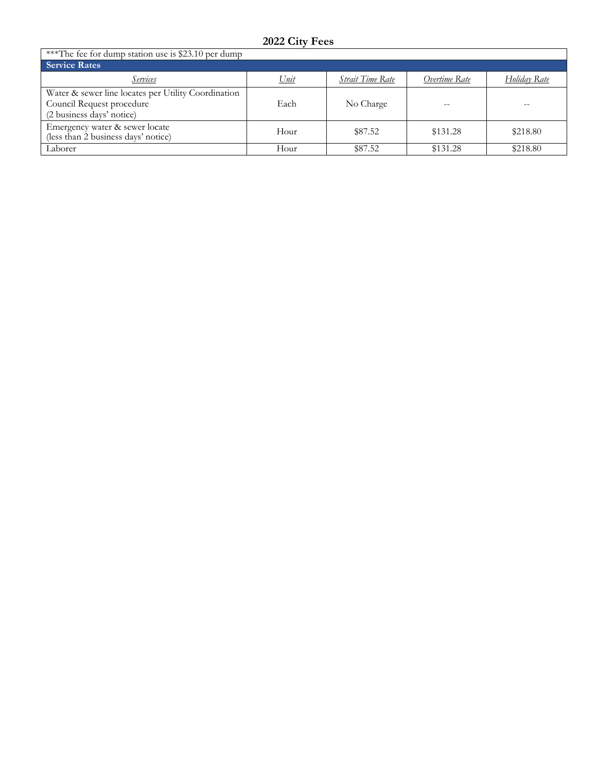| ***The fee for dump station use is \$23.10 per dump                                                           |      |                         |               |              |  |
|---------------------------------------------------------------------------------------------------------------|------|-------------------------|---------------|--------------|--|
| <b>Service Rates</b>                                                                                          |      |                         |               |              |  |
| Services                                                                                                      | Unit | <b>Strait Time Rate</b> | Overtime Rate | Holiday Rate |  |
| Water & sewer line locates per Utility Coordination<br>Council Request procedure<br>(2 business days' notice) | Each | No Charge               |               |              |  |
| Emergency water & sewer locate<br>(less than 2 business days' notice)                                         | Hour | \$87.52                 | \$131.28      | \$218.80     |  |
| Laborer                                                                                                       | Hour | \$87.52                 | \$131.28      | \$218.80     |  |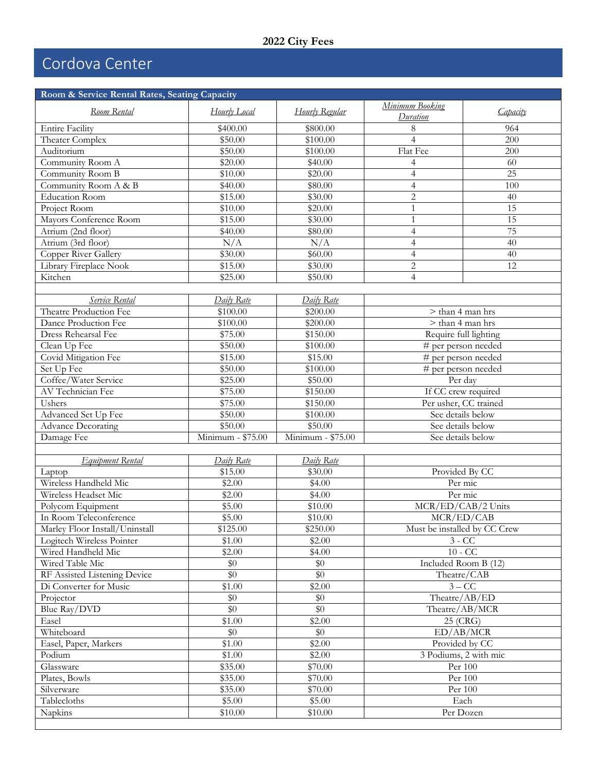## Cordova Center

| Room & Service Rental Rates, Seating Capacity |                    |                      |                             |                              |  |
|-----------------------------------------------|--------------------|----------------------|-----------------------------|------------------------------|--|
| Room Rental                                   | Hourly Local       | Hourly Regular       | Minimum Booking<br>Duration | Capacity                     |  |
| <b>Entire Facility</b>                        | \$400.00           | \$800.00             | 8                           | 964                          |  |
| Theater Complex                               | \$50.00            | \$100.00             | $\overline{4}$              | 200                          |  |
| Auditorium                                    | \$50.00            | $\overline{$100.00}$ | Flat Fee                    | 200                          |  |
| Community Room A                              | \$20.00            | \$40.00              | 4                           | 60                           |  |
| Community Room B                              | \$10.00            | \$20.00              | $\overline{4}$              | 25                           |  |
| Community Room A & B                          | \$40.00            | \$80.00              | $\overline{4}$              | 100                          |  |
| <b>Education Room</b>                         | \$15.00            | \$30.00              | $\overline{c}$              | 40                           |  |
| Project Room                                  | \$10.00            | \$20.00              | $\mathbf{1}$                | 15                           |  |
| Mayors Conference Room                        | \$15.00            | \$30.00              | $\mathbf{1}$                | 15                           |  |
| Atrium (2nd floor)                            | \$40.00            | \$80.00              | $\overline{4}$              | 75                           |  |
| Atrium (3rd floor)                            | N/A                | N/A                  | $\overline{4}$              | 40                           |  |
| Copper River Gallery                          | \$30.00            | \$60.00              | $\overline{4}$              | 40                           |  |
| Library Fireplace Nook                        | \$15.00            | \$30.00              | $\sqrt{2}$                  | 12                           |  |
| Kitchen                                       | \$25.00            | \$50.00              | $\overline{4}$              |                              |  |
|                                               |                    |                      |                             |                              |  |
| Service Rental                                | Daily Rate         | Daily Rate           |                             |                              |  |
| Theatre Production Fee                        | \$100.00           | \$200.00             |                             | > than 4 man hrs             |  |
| Dance Production Fee                          | \$100.00           | \$200.00             |                             | > than 4 man hrs             |  |
| Dress Rehearsal Fee                           | \$75.00            | \$150.00             |                             | Require full lighting        |  |
| Clean Up Fee                                  | \$50.00            | \$100.00             |                             | # per person needed          |  |
| Covid Mitigation Fee                          | \$15.00            | \$15.00              |                             | # per person needed          |  |
| Set Up Fee                                    | \$50.00            | \$100.00             |                             | # per person needed          |  |
| Coffee/Water Service                          | \$25.00            | \$50.00              |                             | Per day                      |  |
| AV Technician Fee                             | \$75.00            | \$150.00             |                             | If CC crew required          |  |
| Ushers                                        | \$75.00            | \$150.00             | Per usher, CC trained       |                              |  |
| Advanced Set Up Fee                           | \$50.00            | \$100.00             | See details below           |                              |  |
| <b>Advance Decorating</b>                     | \$50.00            | \$50.00              | See details below           |                              |  |
| Damage Fee                                    | Minimum - \$75.00  | Minimum - \$75.00    | See details below           |                              |  |
|                                               |                    |                      |                             |                              |  |
| Equipment Rental                              | Daily Rate         | Daily Rate           |                             |                              |  |
| Laptop                                        | \$15.00            | \$30.00              |                             | Provided By CC               |  |
| Wireless Handheld Mic                         | \$2.00             | \$4.00               |                             | Per mic                      |  |
| Wireless Headset Mic                          | \$2.00             | \$4.00               |                             | Per mic                      |  |
| Polycom Equipment                             | \$5.00             | \$10.00              |                             | MCR/ED/CAB/2 Units           |  |
| In Room Teleconference                        | \$5.00             | \$10.00              |                             | MCR/ED/CAB                   |  |
| Marley Floor Install/Uninstall                | \$125.00           | \$250.00             |                             | Must be installed by CC Crew |  |
| Logitech Wireless Pointer                     | \$1.00             | \$2.00               |                             | $3 - CC$                     |  |
| Wired Handheld Mic                            | \$2.00             | \$4.00               |                             | $10 - CC$                    |  |
| Wired Table Mic                               | \$0                | \$0                  |                             | Included Room B (12)         |  |
| RF Assisted Listening Device                  | \$0                | \$0                  |                             | Theatre/CAB                  |  |
| Di Converter for Music                        | $\overline{$}1.00$ | \$2.00               |                             | $3 - CC$                     |  |
| Projector                                     | \$0                | \$0                  |                             | Theatre/AB/ED                |  |
| Blue Ray/DVD                                  | \$0                | \$0                  |                             | Theatre/AB/MCR               |  |
| Easel                                         | \$1.00             | \$2.00               |                             |                              |  |
| Whiteboard                                    | \$0                | \$0                  | 25 (CRG)<br>ED/AB/MCR       |                              |  |
| Easel, Paper, Markers                         | \$1.00             | \$2.00               | Provided by CC              |                              |  |
| Podium                                        | \$1.00             | \$2.00               |                             | 3 Podiums, 2 with mic        |  |
| Glassware                                     | \$35.00            | \$70.00              |                             | Per 100                      |  |
| Plates, Bowls                                 | \$35.00            | \$70.00              |                             | Per 100                      |  |
| Silverware                                    | \$35.00            | \$70.00              |                             | Per 100                      |  |
| Tablecloths                                   | \$5.00             | \$5.00               |                             |                              |  |
| Napkins                                       | \$10.00            | \$10.00              | Each<br>Per Dozen           |                              |  |
|                                               |                    |                      |                             |                              |  |